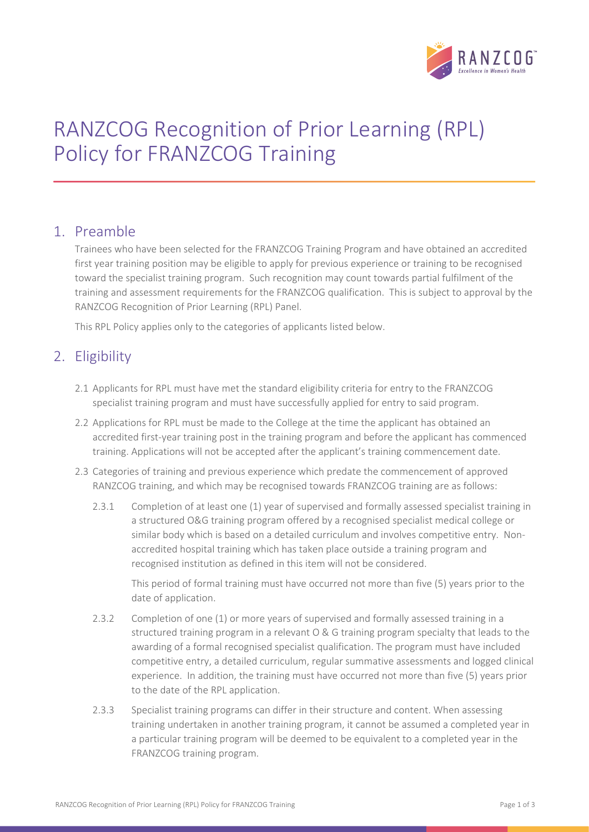

# RANZCOG Recognition of Prior Learning (RPL) Policy for FRANZCOG Training

#### 1. Preamble

Trainees who have been selected for the FRANZCOG Training Program and have obtained an accredited first year training position may be eligible to apply for previous experience or training to be recognised toward the specialist training program. Such recognition may count towards partial fulfilment of the training and assessment requirements for the FRANZCOG qualification. This is subject to approval by the RANZCOG Recognition of Prior Learning (RPL) Panel.

This RPL Policy applies only to the categories of applicants listed below.

#### 2. Eligibility

- 2.1 Applicants for RPL must have met the standard eligibility criteria for entry to the FRANZCOG specialist training program and must have successfully applied for entry to said program.
- 2.2 Applications for RPL must be made to the College at the time the applicant has obtained an accredited first-year training post in the training program and before the applicant has commenced training. Applications will not be accepted after the applicant's training commencement date.
- 2.3 Categories of training and previous experience which predate the commencement of approved RANZCOG training, and which may be recognised towards FRANZCOG training are as follows:
	- 2.3.1 Completion of at least one (1) year of supervised and formally assessed specialist training in a structured O&G training program offered by a recognised specialist medical college or similar body which is based on a detailed curriculum and involves competitive entry. Nonaccredited hospital training which has taken place outside a training program and recognised institution as defined in this item will not be considered.

This period of formal training must have occurred not more than five (5) years prior to the date of application.

- 2.3.2 Completion of one (1) or more years of supervised and formally assessed training in a structured training program in a relevant O & G training program specialty that leads to the awarding of a formal recognised specialist qualification. The program must have included competitive entry, a detailed curriculum, regular summative assessments and logged clinical experience. In addition, the training must have occurred not more than five (5) years prior to the date of the RPL application.
- 2.3.3 Specialist training programs can differ in their structure and content. When assessing training undertaken in another training program, it cannot be assumed a completed year in a particular training program will be deemed to be equivalent to a completed year in the FRANZCOG training program.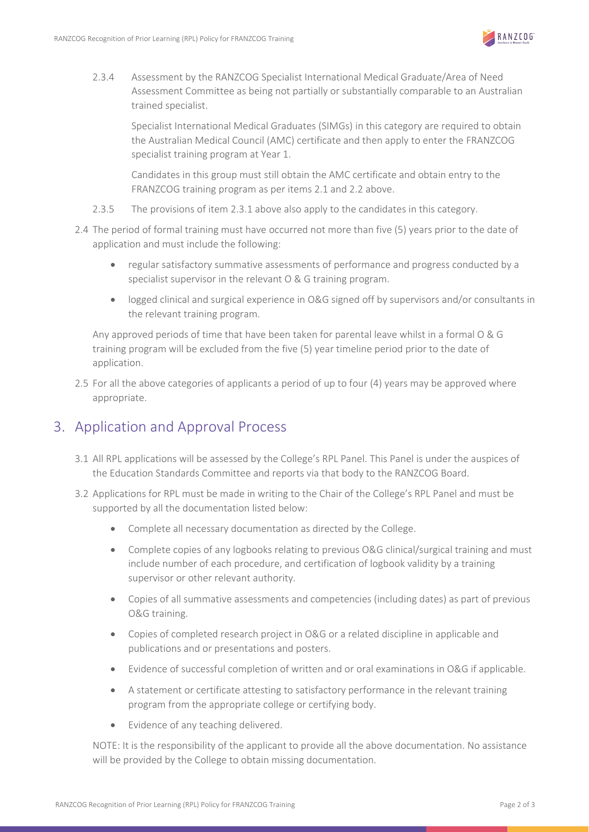

2.3.4 Assessment by the RANZCOG Specialist International Medical Graduate/Area of Need Assessment Committee as being not partially or substantially comparable to an Australian trained specialist.

Specialist International Medical Graduates (SIMGs) in this category are required to obtain the Australian Medical Council (AMC) certificate and then apply to enter the FRANZCOG specialist training program at Year 1.

Candidates in this group must still obtain the AMC certificate and obtain entry to the FRANZCOG training program as per items 2.1 and 2.2 above.

- 2.3.5 The provisions of item 2.3.1 above also apply to the candidates in this category.
- 2.4 The period of formal training must have occurred not more than five (5) years prior to the date of application and must include the following:
	- regular satisfactory summative assessments of performance and progress conducted by a specialist supervisor in the relevant O & G training program.
	- logged clinical and surgical experience in O&G signed off by supervisors and/or consultants in the relevant training program.

Any approved periods of time that have been taken for parental leave whilst in a formal O & G training program will be excluded from the five (5) year timeline period prior to the date of application.

2.5 For all the above categories of applicants a period of up to four (4) years may be approved where appropriate.

### 3. Application and Approval Process

- 3.1 All RPL applications will be assessed by the College's RPL Panel. This Panel is under the auspices of the Education Standards Committee and reports via that body to the RANZCOG Board.
- 3.2 Applications for RPL must be made in writing to the Chair of the College's RPL Panel and must be supported by all the documentation listed below:
	- Complete all necessary documentation as directed by the College.
	- Complete copies of any logbooks relating to previous O&G clinical/surgical training and must include number of each procedure, and certification of logbook validity by a training supervisor or other relevant authority.
	- Copies of all summative assessments and competencies (including dates) as part of previous O&G training.
	- Copies of completed research project in O&G or a related discipline in applicable and publications and or presentations and posters.
	- Evidence of successful completion of written and or oral examinations in O&G if applicable.
	- A statement or certificate attesting to satisfactory performance in the relevant training program from the appropriate college or certifying body.
	- Evidence of any teaching delivered.

NOTE: It is the responsibility of the applicant to provide all the above documentation. No assistance will be provided by the College to obtain missing documentation.